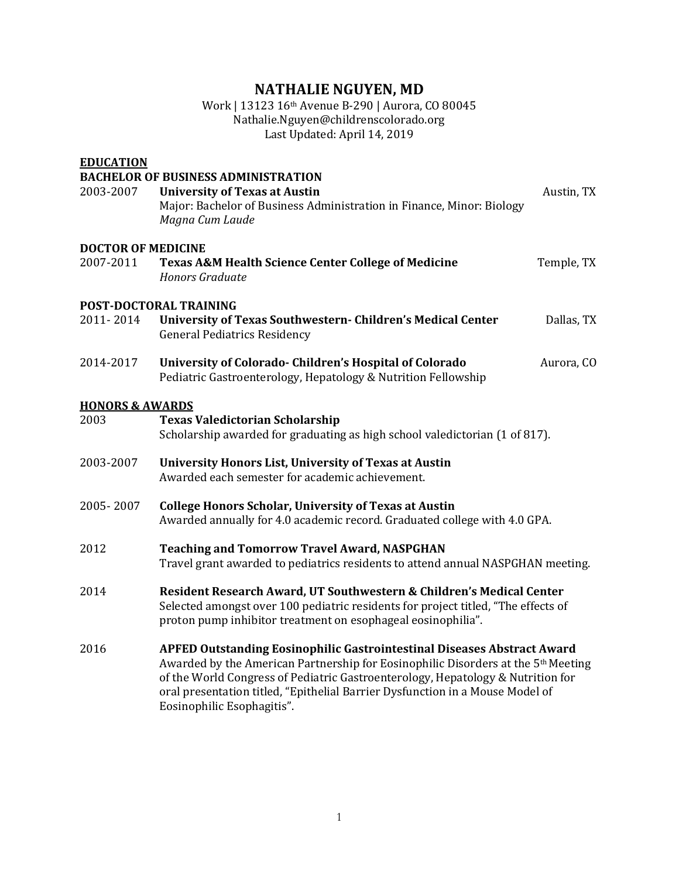# **NATHALIE NGUYEN, MD**

## Work | 13123 16<sup>th</sup> Avenue B-290 | Aurora, CO 80045 Nathalie.Nguyen@childrenscolorado.org Last Updated: April 14, 2019

| <b>EDUCATION</b>           |                                                                                                                                                                                                                                                                                                                                                                                   |            |  |
|----------------------------|-----------------------------------------------------------------------------------------------------------------------------------------------------------------------------------------------------------------------------------------------------------------------------------------------------------------------------------------------------------------------------------|------------|--|
| 2003-2007                  | <b>BACHELOR OF BUSINESS ADMINISTRATION</b><br><b>University of Texas at Austin</b><br>Major: Bachelor of Business Administration in Finance, Minor: Biology<br>Magna Cum Laude                                                                                                                                                                                                    | Austin, TX |  |
| <b>DOCTOR OF MEDICINE</b>  |                                                                                                                                                                                                                                                                                                                                                                                   |            |  |
| 2007-2011                  | <b>Texas A&amp;M Health Science Center College of Medicine</b><br>Honors Graduate                                                                                                                                                                                                                                                                                                 | Temple, TX |  |
| POST-DOCTORAL TRAINING     |                                                                                                                                                                                                                                                                                                                                                                                   |            |  |
| 2011-2014                  | University of Texas Southwestern- Children's Medical Center<br><b>General Pediatrics Residency</b>                                                                                                                                                                                                                                                                                | Dallas, TX |  |
| 2014-2017                  | University of Colorado- Children's Hospital of Colorado<br>Pediatric Gastroenterology, Hepatology & Nutrition Fellowship                                                                                                                                                                                                                                                          | Aurora, CO |  |
| <b>HONORS &amp; AWARDS</b> |                                                                                                                                                                                                                                                                                                                                                                                   |            |  |
| 2003                       | <b>Texas Valedictorian Scholarship</b><br>Scholarship awarded for graduating as high school valedictorian (1 of 817).                                                                                                                                                                                                                                                             |            |  |
| 2003-2007                  | University Honors List, University of Texas at Austin<br>Awarded each semester for academic achievement.                                                                                                                                                                                                                                                                          |            |  |
| 2005-2007                  | <b>College Honors Scholar, University of Texas at Austin</b><br>Awarded annually for 4.0 academic record. Graduated college with 4.0 GPA.                                                                                                                                                                                                                                         |            |  |
| 2012                       | <b>Teaching and Tomorrow Travel Award, NASPGHAN</b><br>Travel grant awarded to pediatrics residents to attend annual NASPGHAN meeting.                                                                                                                                                                                                                                            |            |  |
| 2014                       | Resident Research Award, UT Southwestern & Children's Medical Center<br>Selected amongst over 100 pediatric residents for project titled, "The effects of<br>proton pump inhibitor treatment on esophageal eosinophilia".                                                                                                                                                         |            |  |
| 2016                       | <b>APFED Outstanding Eosinophilic Gastrointestinal Diseases Abstract Award</b><br>Awarded by the American Partnership for Eosinophilic Disorders at the 5 <sup>th</sup> Meeting<br>of the World Congress of Pediatric Gastroenterology, Hepatology & Nutrition for<br>oral presentation titled, "Epithelial Barrier Dysfunction in a Mouse Model of<br>Eosinophilic Esophagitis". |            |  |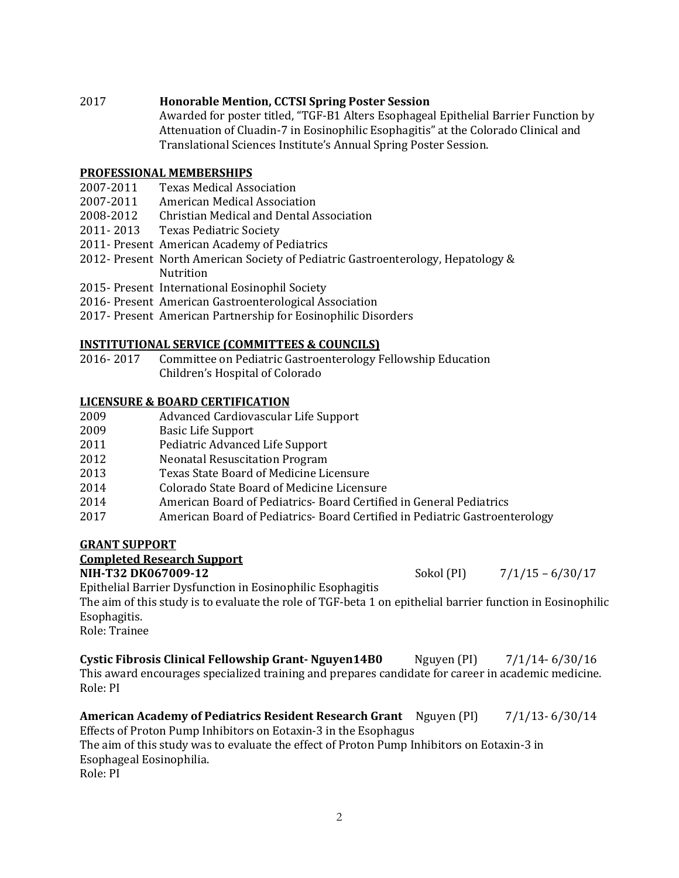# 2017 **Honorable Mention, CCTSI Spring Poster Session**

Awarded for poster titled, "TGF-B1 Alters Esophageal Epithelial Barrier Function by Attenuation of Cluadin-7 in Eosinophilic Esophagitis" at the Colorado Clinical and Translational Sciences Institute's Annual Spring Poster Session.

## **PROFESSIONAL MEMBERSHIPS**

- 2007-2011 Texas Medical Association
- 2007-2011 American Medical Association
- 2008-2012 Christian Medical and Dental Association
- 2011-2013 Texas Pediatric Society
- 2011- Present American Academy of Pediatrics
- 2012- Present North American Society of Pediatric Gastroenterology, Hepatology & Nutrition
- 2015- Present International Eosinophil Society
- 2016- Present American Gastroenterological Association
- 2017- Present American Partnership for Eosinophilic Disorders

# **INSTITUTIONAL SERVICE (COMMITTEES & COUNCILS)**

2016- 2017 Committee on Pediatric Gastroenterology Fellowship Education Children's Hospital of Colorado

## **LICENSURE & BOARD CERTIFICATION**

- 2009 Advanced Cardiovascular Life Support
- 2009 Basic Life Support
- 2011 Pediatric Advanced Life Support
- 2012 **Neonatal Resuscitation Program**
- 2013 Texas State Board of Medicine Licensure
- 2014 Colorado State Board of Medicine Licensure
- 2014 **American Board of Pediatrics- Board Certified in General Pediatrics**
- 2017 **American Board of Pediatrics- Board Certified in Pediatric Gastroenterology**

## **GRANT SUPPORT**

## **Completed Research Support**

## **NIH-T32 DK067009-12** Sokol (PI) 7/1/15 – 6/30/17

Epithelial Barrier Dysfunction in Eosinophilic Esophagitis

The aim of this study is to evaluate the role of TGF-beta 1 on epithelial barrier function in Eosinophilic Esophagitis.

Role: Trainee

```
Cystic Fibrosis Clinical Fellowship Grant- Nguyen14B0 Nguyen (PI) 7/1/14- 6/30/16
This award encourages specialized training and prepares candidate for career in academic medicine.
Role:	PI
```
#### **American Academy of Pediatrics Resident Research Grant** Nguyen (PI) 7/1/13- 6/30/14 Effects of Proton Pump Inhibitors on Eotaxin-3 in the Esophagus The aim of this study was to evaluate the effect of Proton Pump Inhibitors on Eotaxin-3 in Esophageal Eosinophilia. Role: PI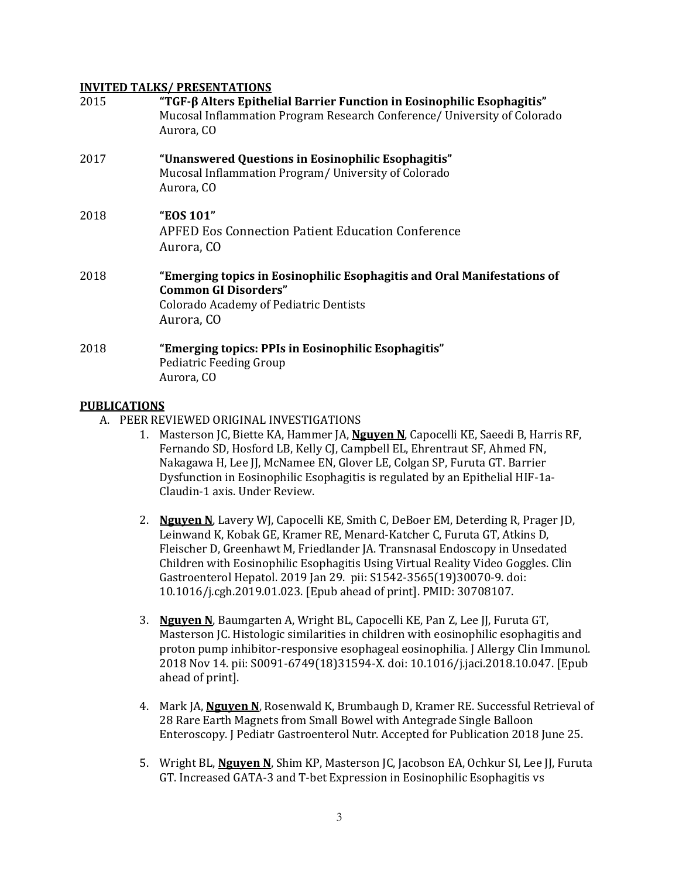#### **INVITED TALKS/ PRESENTATIONS**

| 2015 | "TGF-β Alters Epithelial Barrier Function in Eosinophilic Esophagitis"<br>Mucosal Inflammation Program Research Conference/ University of Colorado<br>Aurora, CO      |
|------|-----------------------------------------------------------------------------------------------------------------------------------------------------------------------|
| 2017 | "Unanswered Questions in Eosinophilic Esophagitis"<br>Mucosal Inflammation Program/University of Colorado<br>Aurora, CO                                               |
| 2018 | "EOS 101"<br><b>APFED Eos Connection Patient Education Conference</b><br>Aurora, CO                                                                                   |
| 2018 | "Emerging topics in Eosinophilic Esophagitis and Oral Manifestations of<br><b>Common GI Disorders"</b><br><b>Colorado Academy of Pediatric Dentists</b><br>Aurora, CO |
| 2018 | "Emerging topics: PPIs in Eosinophilic Esophagitis"<br>Pediatric Feeding Group<br>Aurora, CO                                                                          |

## **PUBLICATIONS**

- A. PEER REVIEWED ORIGINAL INVESTIGATIONS
	- 1. Masterson JC, Biette KA, Hammer JA, **Nguyen N**, Capocelli KE, Saeedi B, Harris RF, Fernando SD, Hosford LB, Kelly CJ, Campbell EL, Ehrentraut SF, Ahmed FN, Nakagawa H, Lee JJ, McNamee EN, Glover LE, Colgan SP, Furuta GT. Barrier Dysfunction in Eosinophilic Esophagitis is regulated by an Epithelial HIF-1a-Claudin-1 axis. Under Review.
	- 2. **Nguyen N**, Lavery WJ, Capocelli KE, Smith C, DeBoer EM, Deterding R, Prager JD, Leinwand K, Kobak GE, Kramer RE, Menard-Katcher C, Furuta GT, Atkins D, Fleischer D, Greenhawt M, Friedlander JA. Transnasal Endoscopy in Unsedated Children with Eosinophilic Esophagitis Using Virtual Reality Video Goggles. Clin Gastroenterol Hepatol. 2019 Jan 29. pii: S1542-3565(19)30070-9. doi: 10.1016/j.cgh.2019.01.023. [Epub ahead of print]. PMID: 30708107.
	- 3. **Nguyen N**, Baumgarten A, Wright BL, Capocelli KE, Pan Z, Lee JJ, Furuta GT, Masterson JC. Histologic similarities in children with eosinophilic esophagitis and proton pump inhibitor-responsive esophageal eosinophilia. [Allergy Clin Immunol.] 2018 Nov 14. pii: S0091-6749(18)31594-X. doi: 10.1016/j.jaci.2018.10.047. [Epub ahead of print].
	- 4. Mark JA, **Nguyen N**, Rosenwald K, Brumbaugh D, Kramer RE. Successful Retrieval of 28 Rare Earth Magnets from Small Bowel with Antegrade Single Balloon Enteroscopy. J Pediatr Gastroenterol Nutr. Accepted for Publication 2018 June 25.
	- 5. Wright BL, **Nguyen N**, Shim KP, Masterson JC, Jacobson EA, Ochkur SI, Lee JJ, Furuta GT. Increased GATA-3 and T-bet Expression in Eosinophilic Esophagitis vs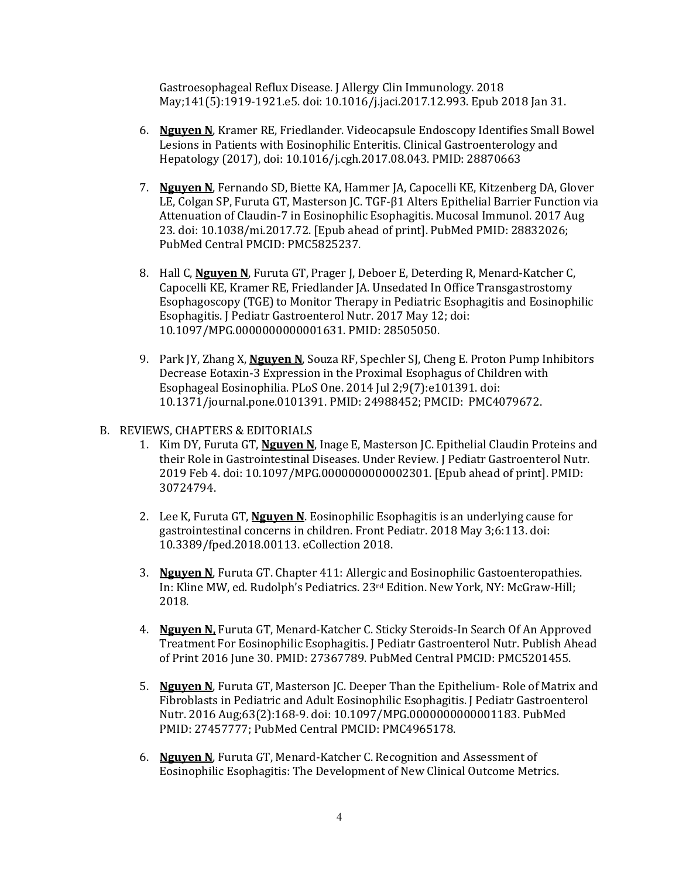Gastroesophageal Reflux Disease. J Allergy Clin Immunology. 2018 May;141(5):1919-1921.e5. doi: 10.1016/j.jaci.2017.12.993. Epub 2018 Jan 31.

- 6. **Nguyen N**, Kramer RE, Friedlander. Videocapsule Endoscopy Identifies Small Bowel Lesions in Patients with Eosinophilic Enteritis. Clinical Gastroenterology and Hepatology (2017), doi: 10.1016/j.cgh.2017.08.043. PMID: 28870663
- 7. Nguyen N, Fernando SD, Biette KA, Hammer JA, Capocelli KE, Kitzenberg DA, Glover LE, Colgan SP, Furuta GT, Masterson JC. TGF-β1 Alters Epithelial Barrier Function via Attenuation of Claudin-7 in Eosinophilic Esophagitis. Mucosal Immunol. 2017 Aug 23. doi: 10.1038/mi.2017.72. [Epub ahead of print]. PubMed PMID: 28832026; PubMed Central PMCID: PMC5825237.
- 8. Hall C, **Nguyen N**, Furuta GT, Prager J, Deboer E, Deterding R, Menard-Katcher C, Capocelli KE, Kramer RE, Friedlander JA. Unsedated In Office Transgastrostomy Esophagoscopy (TGE) to Monitor Therapy in Pediatric Esophagitis and Eosinophilic Esophagitis. J Pediatr Gastroenterol Nutr. 2017 May 12; doi: 10.1097/MPG.0000000000001631. PMID: 28505050.
- 9. Park IY, Zhang X, Nguyen N, Souza RF, Spechler SJ, Cheng E. Proton Pump Inhibitors Decrease Eotaxin-3 Expression in the Proximal Esophagus of Children with Esophageal Eosinophilia. PLoS One. 2014 Jul 2;9(7):e101391. doi: 10.1371/journal.pone.0101391. PMID: 24988452; PMCID: PMC4079672.
- B. REVIEWS, CHAPTERS & EDITORIALS
	- 1. Kim DY, Furuta GT, **Nguven N**, Inage E, Masterson JC. Epithelial Claudin Proteins and their Role in Gastrointestinal Diseases. Under Review. I Pediatr Gastroenterol Nutr. 2019 Feb 4. doi: 10.1097/MPG.0000000000002301. [Epub ahead of print]. PMID: 30724794.
	- 2. Lee K, Furuta GT, **Nguyen N**. Eosinophilic Esophagitis is an underlying cause for gastrointestinal concerns in children. Front Pediatr. 2018 May 3;6:113. doi: 10.3389/fped.2018.00113. eCollection 2018.
	- 3. Nguyen N, Furuta GT. Chapter 411: Allergic and Eosinophilic Gastoenteropathies. In: Kline MW, ed. Rudolph's Pediatrics. 23<sup>rd</sup> Edition. New York, NY: McGraw-Hill; 2018.
	- 4. Nguyen N, Furuta GT, Menard-Katcher C. Sticky Steroids-In Search Of An Approved Treatment For Eosinophilic Esophagitis. J Pediatr Gastroenterol Nutr. Publish Ahead of Print 2016 June 30. PMID: 27367789. PubMed Central PMCID: PMC5201455.
	- 5. Nguyen N, Furuta GT, Masterson JC. Deeper Than the Epithelium- Role of Matrix and Fibroblasts in Pediatric and Adult Eosinophilic Esophagitis. J Pediatr Gastroenterol Nutr. 2016 Aug;63(2):168-9. doi: 10.1097/MPG.00000000000001183. PubMed PMID: 27457777; PubMed Central PMCID: PMC4965178.
	- 6. **Nguyen N**, Furuta GT, Menard-Katcher C. Recognition and Assessment of Eosinophilic Esophagitis: The Development of New Clinical Outcome Metrics.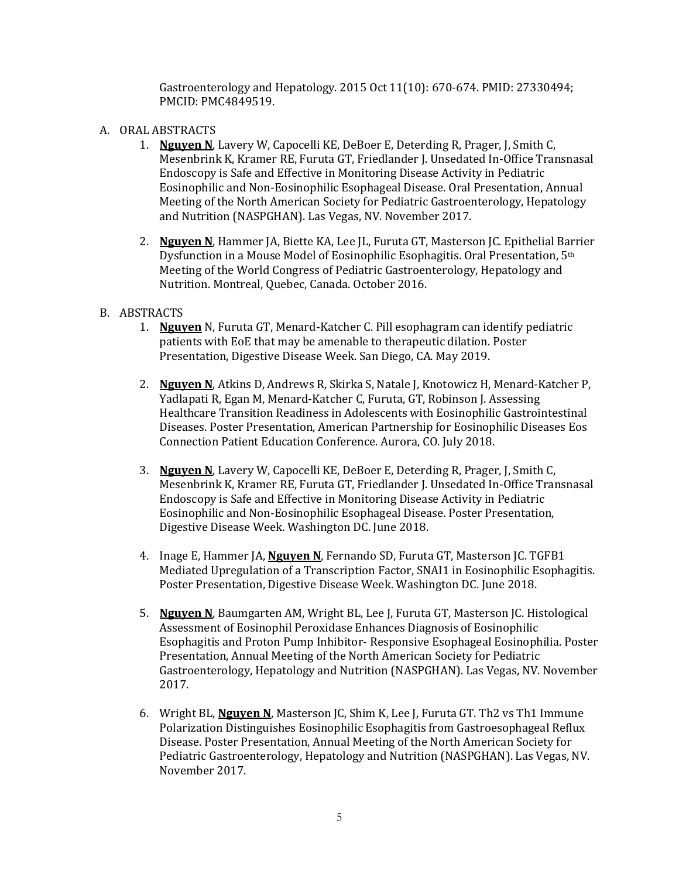Gastroenterology and Hepatology. 2015 Oct 11(10):  $670-674$ . PMID:  $27330494$ ; PMCID: PMC4849519.

- A. ORAL ABSTRACTS
	- 1. **Nguyen N**, Lavery W, Capocelli KE, DeBoer E, Deterding R, Prager, J, Smith C, Mesenbrink K, Kramer RE, Furuta GT, Friedlander J. Unsedated In-Office Transnasal Endoscopy is Safe and Effective in Monitoring Disease Activity in Pediatric Eosinophilic and Non-Eosinophilic Esophageal Disease. Oral Presentation, Annual Meeting of the North American Society for Pediatric Gastroenterology, Hepatology and Nutrition (NASPGHAN). Las Vegas, NV. November 2017.
	- 2. Nguyen N, Hammer JA, Biette KA, Lee JL, Furuta GT, Masterson JC. Epithelial Barrier Dysfunction in a Mouse Model of Eosinophilic Esophagitis. Oral Presentation, 5<sup>th</sup> Meeting of the World Congress of Pediatric Gastroenterology, Hepatology and Nutrition. Montreal, Quebec, Canada. October 2016.
- B. ABSTRACTS
	- 1. **Nguyen** N, Furuta GT, Menard-Katcher C. Pill esophagram can identify pediatric patients with EoE that may be amenable to therapeutic dilation. Poster Presentation, Digestive Disease Week. San Diego, CA. May 2019.
	- 2. **Nguyen N**, Atkins D, Andrews R, Skirka S, Natale J, Knotowicz H, Menard-Katcher P, Yadlapati R, Egan M, Menard-Katcher C, Furuta, GT, Robinson J. Assessing Healthcare Transition Readiness in Adolescents with Eosinophilic Gastrointestinal Diseases. Poster Presentation, American Partnership for Eosinophilic Diseases Eos Connection Patient Education Conference. Aurora, CO. July 2018.
	- 3. **Nguyen N**, Lavery W, Capocelli KE, DeBoer E, Deterding R, Prager, J, Smith C, Mesenbrink K, Kramer RE, Furuta GT, Friedlander J. Unsedated In-Office Transnasal Endoscopy is Safe and Effective in Monitoring Disease Activity in Pediatric Eosinophilic and Non-Eosinophilic Esophageal Disease. Poster Presentation, Digestive Disease Week. Washington DC. June 2018.
	- 4. Inage E, Hammer JA, **Nguyen N**, Fernando SD, Furuta GT, Masterson JC. TGFB1 Mediated Upregulation of a Transcription Factor, SNAI1 in Eosinophilic Esophagitis. Poster Presentation, Digestive Disease Week. Washington DC. June 2018.
	- 5. **Nguyen N**, Baumgarten AM, Wright BL, Lee J, Furuta GT, Masterson JC. Histological Assessment of Eosinophil Peroxidase Enhances Diagnosis of Eosinophilic Esophagitis and Proton Pump Inhibitor- Responsive Esophageal Eosinophilia. Poster Presentation, Annual Meeting of the North American Society for Pediatric Gastroenterology, Hepatology and Nutrition (NASPGHAN). Las Vegas, NV. November 2017.
	- 6. Wright BL, **Nguyen N**, Masterson JC, Shim K, Lee J, Furuta GT. Th2 vs Th1 Immune Polarization Distinguishes Eosinophilic Esophagitis from Gastroesophageal Reflux Disease. Poster Presentation, Annual Meeting of the North American Society for Pediatric Gastroenterology, Hepatology and Nutrition (NASPGHAN). Las Vegas, NV. November 2017.